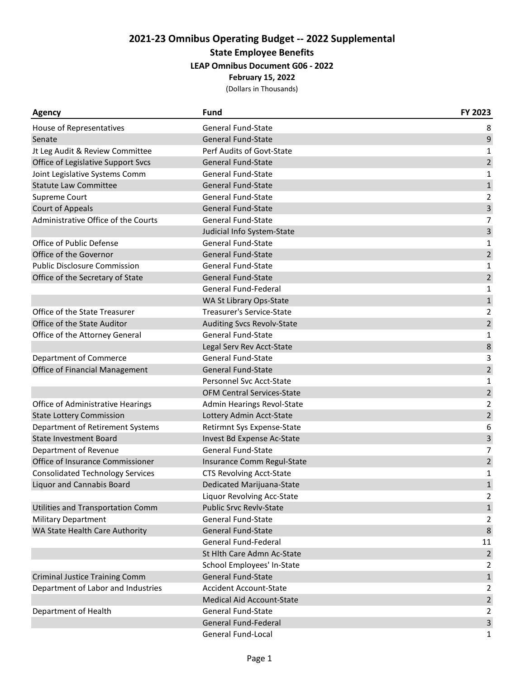# **2021-23 Omnibus Operating Budget -- 2022 Supplemental**

### **State Employee Benefits**

## **LEAP Omnibus Document G06 - 2022**

#### **February 15, 2022**

(Dollars in Thousands)

| <b>Agency</b>                           | <b>Fund</b>                       | FY 2023        |
|-----------------------------------------|-----------------------------------|----------------|
| House of Representatives                | <b>General Fund-State</b>         | 8              |
| Senate                                  | <b>General Fund-State</b>         | 9              |
| Jt Leg Audit & Review Committee         | Perf Audits of Govt-State         | 1              |
| Office of Legislative Support Svcs      | <b>General Fund-State</b>         | $\overline{2}$ |
| Joint Legislative Systems Comm          | <b>General Fund-State</b>         | 1              |
| <b>Statute Law Committee</b>            | <b>General Fund-State</b>         | $\mathbf 1$    |
| Supreme Court                           | <b>General Fund-State</b>         | 2              |
| <b>Court of Appeals</b>                 | <b>General Fund-State</b>         | 3              |
| Administrative Office of the Courts     | <b>General Fund-State</b>         | $\overline{7}$ |
|                                         | Judicial Info System-State        | 3              |
| Office of Public Defense                | <b>General Fund-State</b>         | 1              |
| Office of the Governor                  | <b>General Fund-State</b>         | $\overline{2}$ |
| <b>Public Disclosure Commission</b>     | <b>General Fund-State</b>         | 1              |
| Office of the Secretary of State        | <b>General Fund-State</b>         | $\overline{2}$ |
|                                         | General Fund-Federal              | $\mathbf{1}$   |
|                                         | WA St Library Ops-State           | $\,1\,$        |
| Office of the State Treasurer           | <b>Treasurer's Service-State</b>  | $\overline{2}$ |
| Office of the State Auditor             | <b>Auditing Svcs Revolv-State</b> | $\overline{2}$ |
| Office of the Attorney General          | <b>General Fund-State</b>         | $\mathbf{1}$   |
|                                         | Legal Serv Rev Acct-State         | 8              |
| Department of Commerce                  | <b>General Fund-State</b>         | 3              |
| Office of Financial Management          | <b>General Fund-State</b>         | $\overline{2}$ |
|                                         | Personnel Svc Acct-State          | 1              |
|                                         | OFM Central Services-State        | $\overline{2}$ |
| Office of Administrative Hearings       | Admin Hearings Revol-State        | $\overline{2}$ |
| <b>State Lottery Commission</b>         | Lottery Admin Acct-State          | $\overline{2}$ |
| Department of Retirement Systems        | Retirmnt Sys Expense-State        | 6              |
| <b>State Investment Board</b>           | Invest Bd Expense Ac-State        | 3              |
| Department of Revenue                   | <b>General Fund-State</b>         | $\overline{7}$ |
| Office of Insurance Commissioner        | Insurance Comm Regul-State        | $\overline{2}$ |
| <b>Consolidated Technology Services</b> | <b>CTS Revolving Acct-State</b>   | $\mathbf{1}$   |
| <b>Liquor and Cannabis Board</b>        | Dedicated Marijuana-State         | $\mathbf{1}$   |
|                                         | Liquor Revolving Acc-State        | $\overline{2}$ |
| Utilities and Transportation Comm       | <b>Public Srvc Revlv-State</b>    | $1\,$          |
| <b>Military Department</b>              | <b>General Fund-State</b>         | $\overline{2}$ |
| WA State Health Care Authority          | <b>General Fund-State</b>         | $\,8\,$        |
|                                         | <b>General Fund-Federal</b>       | 11             |
|                                         | St Hlth Care Admn Ac-State        | $\overline{2}$ |
|                                         | School Employees' In-State        | $\overline{2}$ |
| <b>Criminal Justice Training Comm</b>   | General Fund-State                | $\mathbf{1}$   |
| Department of Labor and Industries      | <b>Accident Account-State</b>     | $\overline{2}$ |
|                                         | Medical Aid Account-State         | $\overline{2}$ |
| Department of Health                    | <b>General Fund-State</b>         | $\overline{2}$ |
|                                         | General Fund-Federal              | 3              |
|                                         | General Fund-Local                | $\mathbf{1}$   |